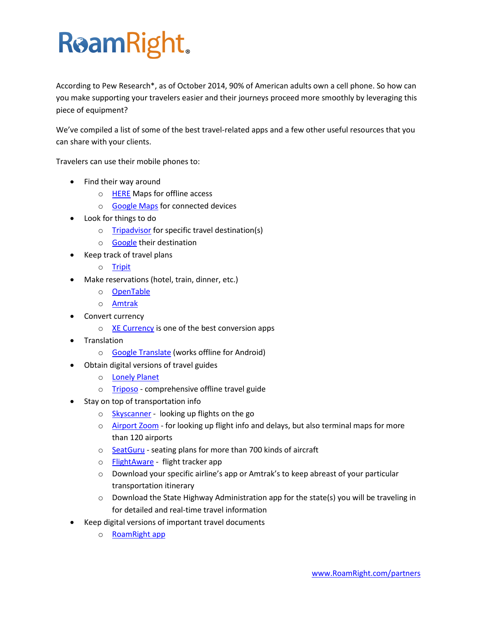## **ReamRight.**

According to Pew Research\*, as of October 2014, 90% of American adults own a cell phone. So how can you make supporting your travelers easier and their journeys proceed more smoothly by leveraging this piece of equipment?

We've compiled a list of some of the best travel-related apps and a few other useful resources that you can share with your clients.

Travelers can use their mobile phones to:

- Find their way around
	- o [HERE](https://pages.here.com/app/) Maps for offline access
	- o [Google Maps](https://www.google.com/maps/about/) for connected devices
- Look for things to do
	- o [Tripadvisor](http://www.tripadvisor.com/apps) for specific travel destination(s)
	- o [Google](http://www.google.com/) their destination
- Keep track of travel plans
	- o [Tripit](https://www.tripit.com/)
- Make reservations (hotel, train, dinner, etc.)
	- o [OpenTable](http://www.opentable.com/m/mobile-apps/)
	- o [Amtrak](http://www.amtrak.com/get-mobile-application-and-access)
- Convert currency
	- $\circ$  [XE Currency](http://www.xe.com/apps/) is one of the best conversion apps
- Translation
	- o [Google Translate](https://translate.google.com/about/intl/en_ALL/index.html) (works offline for Android)
- Obtain digital versions of travel guides
	- o [Lonely Planet](http://shop.lonelyplanet.com/ebooks)
	- o [Triposo](https://www.triposo.com/gettheapp/) comprehensive offline travel guide
- Stay on top of transportation info
	- o [Skyscanner](http://www.skyscanner.com/mobile.html) looking up flights on the go
	- o [Airport Zoom](http://www.flightstats.com/company/products/mobile-applications/%23airport-zoom) for looking up flight info and delays, but also terminal maps for more than 120 airports
	- o [SeatGuru](http://www.seatguru.com/) seating plans for more than 700 kinds of aircraft
	- o [FlightAware](http://flightaware.com/) flight tracker app
	- o Download your specific airline's app or Amtrak's to keep abreast of your particular transportation itinerary
	- o Download the State Highway Administration app for the state(s) you will be traveling in for detailed and real-time travel information
- Keep digital versions of important travel documents
	- o [RoamRight app](http://www.roamright.com/mobile-app/)